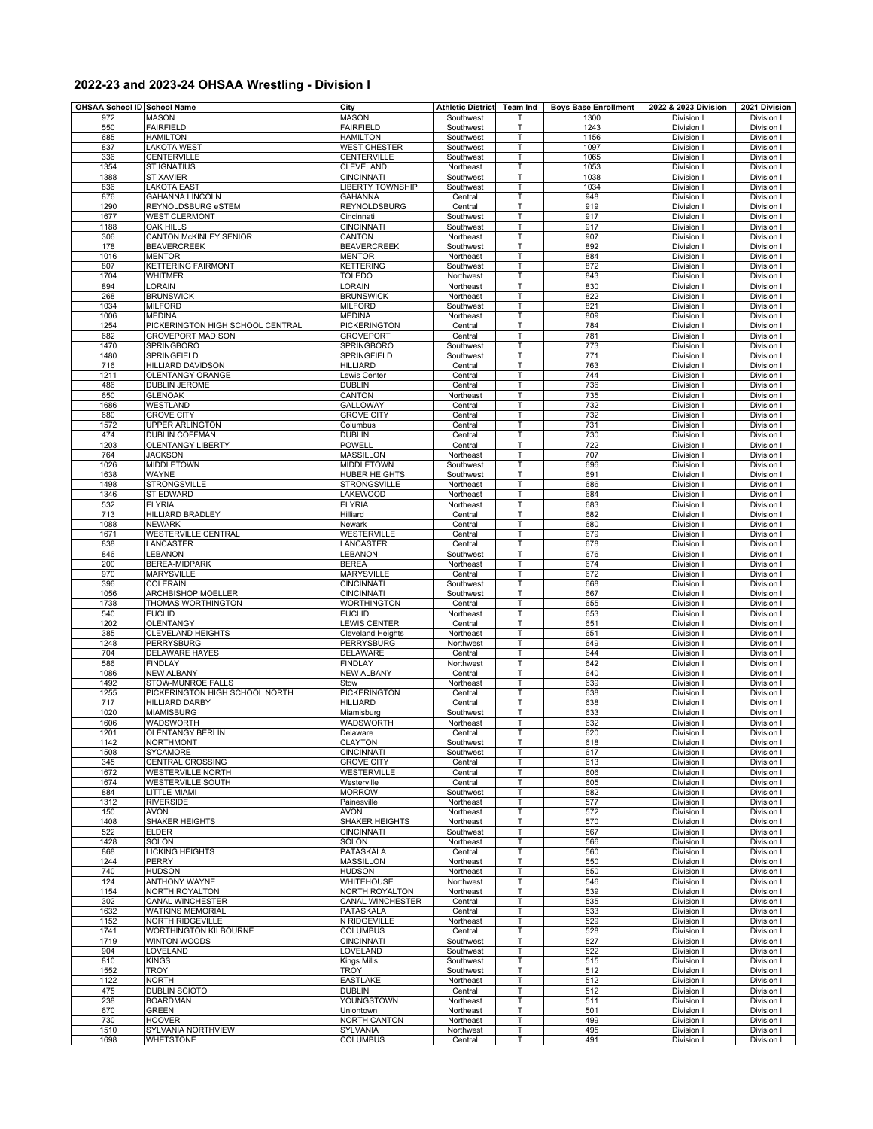## **2022-23 and 2023-24 OHSAA Wrestling - Division I**

| OHSAA School ID School Name |                                                     | City                                   | Athletic District Team Ind |        | <b>Boys Base Enrollment</b> | 2022 & 2023 Division     | 2021 Division            |
|-----------------------------|-----------------------------------------------------|----------------------------------------|----------------------------|--------|-----------------------------|--------------------------|--------------------------|
| 972                         | MASON                                               | <b>MASON</b>                           | Southwest                  | т      | 1300                        | Division I               | Division I               |
| 550                         | <b>FAIRFIELD</b>                                    | <b>FAIRFIELD</b>                       | Southwest                  | T      | 1243                        | Division I               | Division I               |
| 685                         | <b>HAMILTON</b>                                     | <b>HAMILTON</b>                        | Southwest                  | T      | 1156                        | Division I               | Division I               |
| 837                         | <b>LAKOTA WEST</b>                                  | WEST CHESTER                           | Southwest                  | т      | 1097                        | Division I               | Division I               |
| 336<br>1354                 | CENTERVILLE<br><b>ST IGNATIUS</b>                   | CENTERVILLE<br>CLEVELAND               | Southwest<br>Northeast     | Т<br>T | 1065<br>1053                | Division I<br>Division I | Division I<br>Division I |
| 1388                        | <b>ST XAVIER</b>                                    | <b>CINCINNATI</b>                      | Southwest                  | Т      | 1038                        | Division                 | Division                 |
| 836                         | <b>LAKOTA EAST</b>                                  | <b>LIBERTY TOWNSHIP</b>                | Southwest                  | т      | 1034                        | Division I               | Division I               |
| 876                         | <b>GAHANNA LINCOLN</b>                              | GAHANNA                                | Central                    | T      | 948                         | Division I               | Division I               |
| 1290                        | REYNOLDSBURG eSTEM                                  | <b>REYNOLDSBURG</b>                    | Central                    | т      | 919                         | Division                 | Division                 |
| 1677                        | <b>WEST CLERMONT</b>                                | Cincinnati                             | Southwest                  | Т      | 917                         | Division I               | Division I               |
| 1188                        | <b>OAK HILLS</b>                                    | <b>CINCINNATI</b>                      | Southwest                  | т      | 917                         | Division I               | Division I               |
| 306<br>178                  | <b>CANTON McKINLEY SENIOR</b><br><b>BEAVERCREEK</b> | CANTON<br><b>BEAVERCREEK</b>           | Northeast<br>Southwest     | T<br>T | 907<br>892                  | Division<br>Division I   | Division<br>Division I   |
| 1016                        | <b>MENTOR</b>                                       | <b>MENTOR</b>                          | Northeast                  | Т      | 884                         | Division I               | <b>Division</b>          |
| 807                         | <b>KETTERING FAIRMONT</b>                           | <b>KETTERING</b>                       | Southwest                  | Т      | 872                         | Division I               | Division I               |
| 1704                        | <b>WHITMER</b>                                      | TOLEDO                                 | Northwest                  | T      | 843                         | Division I               | Division                 |
| 894                         | LORAIN                                              | LORAIN                                 | Northeast                  | T      | 830                         | Division I               | Division I               |
| 268                         | <b>BRUNSWICK</b>                                    | <b>BRUNSWICK</b>                       | Northeast                  | т      | 822                         | Division I               | Division I               |
| 1034<br>1006                | <b>MILFORD</b>                                      | <b>MILFORD</b>                         | Southwest                  | T<br>т | 821<br>809                  | Division I               | <b>Division</b>          |
| 1254                        | <b>MEDINA</b><br>PICKERINGTON HIGH SCHOOL CENTRAL   | <b>MEDINA</b><br><b>PICKERINGTON</b>   | Northeast<br>Central       | T      | 784                         | Division I<br>Division I | Division I<br>Division I |
| 682                         | <b>GROVEPORT MADISON</b>                            | <b>GROVEPORT</b>                       | Central                    | т      | 781                         | Division                 | Division                 |
| 1470                        | <b>SPRINGBORO</b>                                   | <b>SPRINGBORO</b>                      | Southwest                  | Т      | 773                         | Division I               | Division I               |
| 1480                        | SPRINGFIELD                                         | SPRINGFIELD                            | Southwest                  | T      | 771                         | Division I               | Division I               |
| 716                         | <b>HILLIARD DAVIDSON</b>                            | <b>HILLIARD</b>                        | Central                    | Т      | 763                         | Division I               | Division I               |
| 1211                        | OLENTANGY ORANGE                                    | Lewis Center                           | Central                    | T      | 744                         | Division I               | Division I               |
| 486                         | DUBLIN JEROME                                       | <b>DUBLIN</b>                          | Central                    | T      | 736                         | Division I               | Division I               |
| 650                         | <b>GLENOAK</b>                                      | CANTON                                 | Northeast                  | т      | 735                         | Division I               | Division<br>Division I   |
| 1686<br>680                 | <b>WESTLAND</b><br><b>GROVE CITY</b>                | GALLOWAY<br><b>GROVE CITY</b>          | Central<br>Central         | Т<br>Т | 732<br>732                  | Division I<br>Division I | Division I               |
| 1572                        | <b>UPPER ARLINGTON</b>                              | Columbus                               | Central                    | T      | 731                         | Division I               | Division                 |
| 474                         | <b>DUBLIN COFFMAN</b>                               | DUBLIN                                 | Central                    | т      | 730                         | Division I               | Division I               |
| 1203                        | OLENTANGY LIBERTY                                   | <b>POWELL</b>                          | Central                    | T      | 722                         | Division I               | Division I               |
| 764                         | <b>JACKSON</b>                                      | <b>MASSILLON</b>                       | Northeast                  | T      | 707                         | <b>Division</b>          | <b>Division</b>          |
| 1026                        | <b>MIDDLETOWN</b>                                   | <b>MIDDLETOWN</b>                      | Southwest                  | Т      | 696                         | Division I               | Division I               |
| 1638                        | WAYNE                                               | HUBER HEIGHTS                          | Southwest                  | т      | 691                         | Division I               | Division I               |
| 1498                        | <b>STRONGSVILLE</b>                                 | <b>STRONGSVILLE</b>                    | Northeast                  | T      | 686                         | Division                 | Division                 |
| 1346<br>532                 | ST EDWARD<br><b>ELYRIA</b>                          | LAKEWOOD<br><b>ELYRIA</b>              | Northeast<br>Northeast     | T<br>Т | 684<br>683                  | Division I<br>Division I | Division I<br>Division I |
| 713                         | HILLIARD BRADLEY                                    | Hilliard                               | Central                    | T      | 682                         | Division I               | Division                 |
| 1088                        | <b>NEWARK</b>                                       | Newark                                 | Central                    | T      | 680                         | Division I               | Division I               |
| 1671                        | WESTERVILLE CENTRAL                                 | WESTERVILLE                            | Central                    | T      | 679                         | Division I               | Division I               |
| 838                         | LANCASTER                                           | LANCASTER                              | Central                    | т      | 678                         | Division I               | Division I               |
| 846                         | LEBANON                                             | LEBANON                                | Southwest                  | T      | 676                         | Division I               | Division I               |
| 200                         | <b>BEREA-MIDPARK</b>                                | <b>BEREA</b>                           | Northeast                  | T      | 674                         | Division I               | Division I               |
| 970                         | <b>MARYSVILLE</b>                                   | <b>MARYSVILLE</b>                      | Central                    | Т      | 672                         | Division I               | Division I               |
| 396<br>1056                 | <b>COLERAIN</b><br><b>ARCHBISHOP MOELLER</b>        | <b>CINCINNATI</b><br><b>CINCINNATI</b> | Southwest<br>Southwest     | т<br>Т | 668<br>667                  | Division  <br>Division I | Division<br>Division I   |
| 1738                        | THOMAS WORTHINGTON                                  | <b>WORTHINGTON</b>                     | Central                    | T      | 655                         | Division I               | Division I               |
| 540                         | <b>EUCLID</b>                                       | <b>EUCLID</b>                          | Northeast                  | Т      | 653                         | Division I               | Division I               |
| 1202                        | <b>OLENTANGY</b>                                    | <b>EWIS CENTER</b>                     | Central                    | T      | 651                         | Division I               | Division I               |
| 385                         | <b>CLEVELAND HEIGHTS</b>                            | Cleveland Heights                      | Northeast                  | T      | 651                         | Division I               | Division I               |
| 1248                        | PERRYSBURG                                          | PERRYSBURG                             | Northwest                  | т      | 649                         | Division I               | Division I               |
| 704                         | <b>DELAWARE HAYES</b>                               | <b>DELAWARE</b>                        | Central                    | Т      | 644                         | Division I               | Division I               |
| 586                         | <b>FINDLAY</b><br><b>NEW ALBANY</b>                 | <b>FINDLAY</b>                         | Northwest                  | T      | 642                         | Division I               | Division I               |
| 1086<br>1492                | STOW-MUNROE FALLS                                   | <b>NEW ALBANY</b><br>Stow              | Central<br>Northeast       | T<br>т | 640<br>639                  | Division I<br>Division I | Division I<br>Division I |
| 1255                        | PICKERINGTON HIGH SCHOOL NORTH                      | <b>PICKERINGTON</b>                    | Central                    | T      | 638                         | Division I               | Division I               |
| 717                         | <b>HILLIARD DARBY</b>                               | HILLIARD                               | Central                    | T      | 638                         | <b>Division</b>          | Division                 |
| 1020                        | <b>MIAMISBURG</b>                                   | Miamisburg                             | Southwest                  | Т      | 633                         | Division                 | Division                 |
| 1606                        | <b>WADSWORTH</b>                                    | WADSWORTH                              | Northeast                  | Т      | 632                         | Division I               | Division                 |
| 1201                        | <b>OLENTANGY BERLIN</b>                             | Delaware                               | Central                    | T      | 620                         | Division I               | Division I               |
| 1142                        | NORTHMONT                                           | <b>CLAYTON</b>                         | Southwest                  | T      | 618                         | Division I               | Division I               |
| 1508<br>345                 | SYCAMORE<br><b>CENTRAL CROSSING</b>                 | <b>CINCINNATI</b>                      | Southwest                  | т      | 617                         | Division I               | Division I               |
| 1672                        | <b>WESTERVILLE NORTH</b>                            | <b>GROVE CITY</b><br>WESTERVILLE       | Central<br>Central         | Т<br>т | 613<br>606                  | Division I<br>Division   | Division I<br>Division I |
| 1674                        | <b>WESTERVILLE SOUTH</b>                            | Westerville                            | Central                    | T      | 605                         | Division I               | Division I               |
| 884                         | LITTLE MIAMI                                        | <b>MORROW</b>                          | Southwest                  | Т      | 582                         | Division I               | Division I               |
| 1312                        | <b>RIVERSIDE</b>                                    | Painesville                            | Northeast                  | T      | 577                         | Division I               | Division I               |
| 150                         | <b>AVON</b>                                         | AVON                                   | Northeast                  | T      | 572                         | Division I               | Division I               |
| 1408                        | <b>SHAKER HEIGHTS</b>                               | SHAKER HEIGHTS                         | Northeast                  | Т      | 570                         | Division I               | Division I               |
| 522                         | <b>ELDER</b>                                        | <b>CINCINNATI</b>                      | Southwest                  | т      | 567                         | Division I               | Division I               |
| 1428                        | SOLON                                               | SOLON                                  | Northeast                  | Т      | 566                         | Division I               | Division I               |
| 868<br>1244                 | LICKING HEIGHTS<br>PERRY                            | PATASKALA<br><b>MASSILLON</b>          | Central<br>Northeast       | T<br>Т | 560<br>550                  | Division I<br>Division I | Division I<br>Division I |
| 740                         | <b>HUDSON</b>                                       | <b>HUDSON</b>                          | Northeast                  | T      | 550                         | Division I               | Division I               |
| 124                         | <b>ANTHONY WAYNE</b>                                | WHITEHOUSE                             | Northwest                  | T      | 546                         | Division                 | Division I               |
| 1154                        | NORTH ROYALTON                                      | NORTH ROYALTON                         | Northeast                  | т      | 539                         | Division I               | Division I               |
| 302                         | CANAL WINCHESTER                                    | <b>CANAL WINCHESTER</b>                | Central                    | Т      | 535                         | Division I               | Division I               |
| 1632                        | WATKINS MEMORIAL                                    | PATASKALA                              | Central                    | Т      | 533                         | Division I               | Division I               |
| 1152                        | <b>NORTH RIDGEVILLE</b>                             | N RIDGEVILLE                           | Northeast                  | Т      | 529                         | Division I               | Division I               |
| 1741<br>1719                | WORTHINGTON KILBOURNE                               | <b>COLUMBUS</b>                        | Central                    | т<br>T | 528                         | Division I               | Division I               |
| 904                         | WINTON WOODS<br>LOVELAND                            | <b>CINCINNATI</b><br>LOVELAND          | Southwest<br>Southwest     | т      | 527<br>522                  | Division I<br>Division   | Division I<br>Division I |
| 810                         | <b>KINGS</b>                                        | Kings Mills                            | Southwest                  | Т      | 515                         | Division I               | Division I               |
| 1552                        | <b>TROY</b>                                         | TROY                                   | Southwest                  | Т      | 512                         | Division I               | Division I               |
| 1122                        | <b>NORTH</b>                                        | EASTLAKE                               | Northeast                  | т      | 512                         | Division                 | Division I               |
| 475                         | DUBLIN SCIOTO                                       | <b>DUBLIN</b>                          | Central                    | T      | 512                         | Division I               | Division I               |
| 238                         | <b>BOARDMAN</b>                                     | YOUNGSTOWN                             | Northeast                  | т      | 511                         | Division I               | Division I               |
| 670                         | <b>GREEN</b>                                        | Uniontown                              | Northeast                  | Т      | 501                         | Division I               | Division                 |
| 730                         | <b>HOOVER</b>                                       | <b>NORTH CANTON</b>                    | Northeast                  | T      | 499                         | Division I               | Division                 |
| 1510<br>1698                | SYLVANIA NORTHVIEW<br>WHETSTONE                     | SYLVANIA<br><b>COLUMBUS</b>            | Northwest<br>Central       | T<br>Т | 495<br>491                  | Division I<br>Division I | Division I<br>Division I |